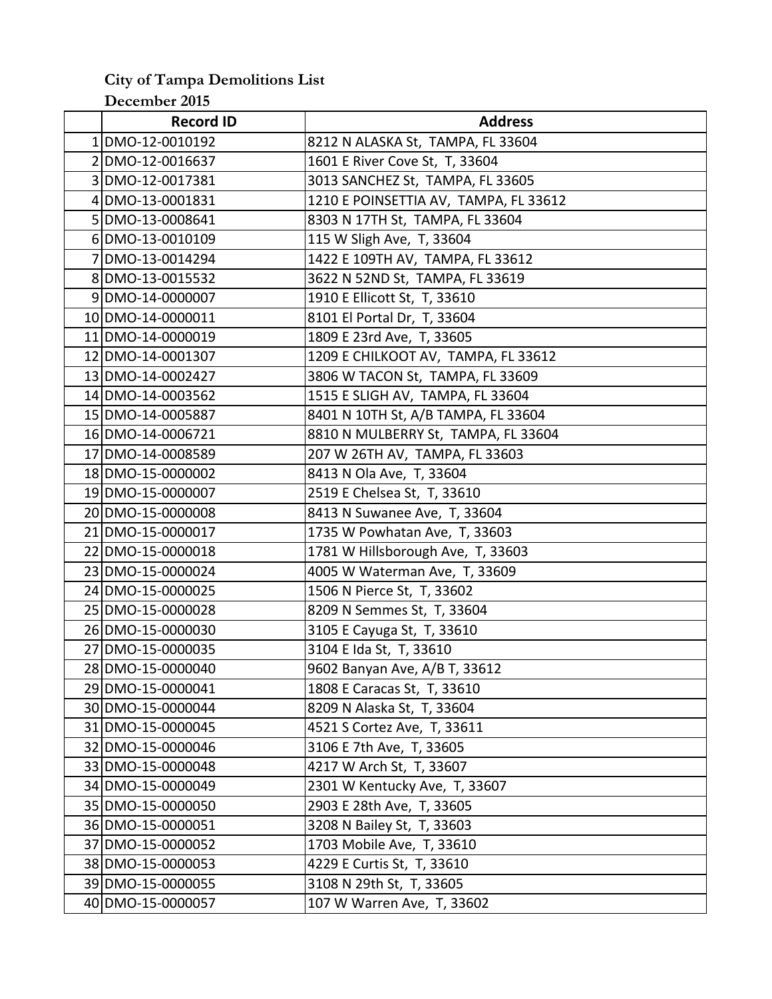## **City of Tampa Demolitions List December 2015**

| <b>Record ID</b>  | <b>Address</b>                        |
|-------------------|---------------------------------------|
| 1 DMO-12-0010192  | 8212 N ALASKA St, TAMPA, FL 33604     |
| 2DMO-12-0016637   | 1601 E River Cove St, T, 33604        |
| 3 DMO-12-0017381  | 3013 SANCHEZ St, TAMPA, FL 33605      |
| 4 DMO-13-0001831  | 1210 E POINSETTIA AV, TAMPA, FL 33612 |
| 5 DMO-13-0008641  | 8303 N 17TH St, TAMPA, FL 33604       |
| 6 DMO-13-0010109  | 115 W Sligh Ave, T, 33604             |
| 7 DMO-13-0014294  | 1422 E 109TH AV, TAMPA, FL 33612      |
| 8 DMO-13-0015532  | 3622 N 52ND St, TAMPA, FL 33619       |
| 9 DMO-14-0000007  | 1910 E Ellicott St, T, 33610          |
| 10 DMO-14-0000011 | 8101 El Portal Dr, T, 33604           |
| 11 DMO-14-0000019 | 1809 E 23rd Ave, T, 33605             |
| 12 DMO-14-0001307 | 1209 E CHILKOOT AV, TAMPA, FL 33612   |
| 13 DMO-14-0002427 | 3806 W TACON St, TAMPA, FL 33609      |
| 14 DMO-14-0003562 | 1515 E SLIGH AV, TAMPA, FL 33604      |
| 15 DMO-14-0005887 | 8401 N 10TH St, A/B TAMPA, FL 33604   |
| 16 DMO-14-0006721 | 8810 N MULBERRY St, TAMPA, FL 33604   |
| 17 DMO-14-0008589 | 207 W 26TH AV, TAMPA, FL 33603        |
| 18 DMO-15-0000002 | 8413 N Ola Ave, T, 33604              |
| 19 DMO-15-0000007 | 2519 E Chelsea St, T, 33610           |
| 20 DMO-15-0000008 | 8413 N Suwanee Ave, T, 33604          |
| 21 DMO-15-0000017 | 1735 W Powhatan Ave, T, 33603         |
| 22 DMO-15-0000018 | 1781 W Hillsborough Ave, T, 33603     |
| 23 DMO-15-0000024 | 4005 W Waterman Ave, T, 33609         |
| 24 DMO-15-0000025 | 1506 N Pierce St, T, 33602            |
| 25 DMO-15-0000028 | 8209 N Semmes St, T, 33604            |
| 26 DMO-15-0000030 | 3105 E Cayuga St, T, 33610            |
| 27 DMO-15-0000035 | 3104 E Ida St, T, 33610               |
| 28 DMO-15-0000040 | 9602 Banyan Ave, A/B T, 33612         |
| 29 DMO-15-0000041 | 1808 E Caracas St, T, 33610           |
| 30 DMO-15-0000044 | 8209 N Alaska St, T, 33604            |
| 31 DMO-15-0000045 | 4521 S Cortez Ave, T, 33611           |
| 32 DMO-15-0000046 | 3106 E 7th Ave, T, 33605              |
| 33 DMO-15-0000048 | 4217 W Arch St, T, 33607              |
| 34 DMO-15-0000049 | 2301 W Kentucky Ave, T, 33607         |
| 35 DMO-15-0000050 | 2903 E 28th Ave, T, 33605             |
| 36 DMO-15-0000051 | 3208 N Bailey St, T, 33603            |
| 37 DMO-15-0000052 | 1703 Mobile Ave, T, 33610             |
| 38 DMO-15-0000053 | 4229 E Curtis St, T, 33610            |
| 39 DMO-15-0000055 | 3108 N 29th St, T, 33605              |
| 40 DMO-15-0000057 | 107 W Warren Ave, T, 33602            |